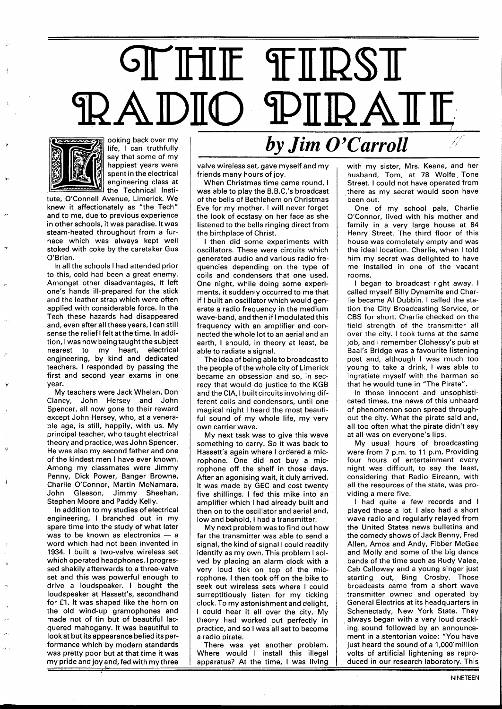## **STHIE THRST** PIIRATE 2 A DIO



 $\mathcal{F}^{\mathcal{I}}_i$ 

ooking back over my life, I can truthfully say that some of my happiest years were spent in the electrical engineering class at the Technical Insti-

tute, O'Connell Avenue, Limerick. We knew it affectionately as "the Tech" and to me, due to previous experience in other schools, it was paradise. It was steam-heated throughout from a furnace which was always kept well stoked with coke by the caretaker Gus O'Brien.

In all the schools I had attended prior to this, cold had been a great enemy. Amongst other disadvantages, it left one's hands ill-prepared for the stick and the leather strap which were often applied with considerable force. In the Tech these hazards had disappeared and, even after all these years, I can still sense the relief I felt at the time. In addition, I was now being taught the subject nearest to my heart, electrical engjneering, by kind and dedicated teachers. I responded by passing the first and second year exams in one year.

My teachers were Jack Whelan, Con Clancy, John Hersey and John Spencer, all now gone to their reward except John Hersey, who, at a venerable age, is still, happily, with us. My principal teacher, who taught electrical theory and practice, was John Spencer. He was also my second father and one of the kindest men I have ever known. Among my classmates were Jimmy Penny, Dick Power, Banger Browne, Charlie O'Connor, Martin McNamara, John Gleeson, Jimmy Sheehan, Stephen Moore and Paddy Kelly.

In addition to my studies of electrical engineering, I branched out in my spare time into the study of what later was to be known as electronics  $-$  a word which had not been invented in 1934. 1 built a two-valve wireless set which operated headphones. I progressed shakily afterwards to a three-valve set and this was powerful enough to drive a loudspeaker. I bought the loudspeaker at Hassett's, secondhand for £1. It was shaped like the horn on the old wind-up gramophones and made not of tin but of beautiful lacquered mahogany. It was beautiful to look at but its appearancebelied its performance which by modern standards was pretty poor but at that time it was my pride and joy and, fed with my three

## *by Jim O'Carroll*

valve wireless set, gave myself and my friends many hours of joy.

When Christmas time came round, I was able to play the B.B.C.'s broadcast of the bells of Bethlehem on Christmas Eve for my mother. I will never forget the look of ecstasy on her face as she listened to the bells ringing direct from the birthplace of Christ.

I then did some experiments with oscillators. These were circuits which generated audio and various radio frequencies depending on the type of coils and condensers that one used. One night, while doing some experiments, it suddenly occurred to me that if I built an oscillator which would generate a radio frequency in the medium wave-band, and then if I modulated this frequency with an amplifier and connected the whole lot to an aerial and an earth, I should, in theory at least, be able to radiate a signal.

The idea of being able to broadcast to the people of the whole city of Limerick became an obsession and so, in secrecy that would do justice to the KGB and the CIA, I built circuits involving different coils and condensors, until one magical night I heard the most beautiful sound of my whole life, my very own carrier wave.

My next task was to give this wave something to carry. So it was back to Hassett's again where I ordered a microphone. One did not buy a microphone off the shelf in those days. After an agonising wait, it duly arrived. It was made by GEC and cost twenty five shillings. I fed this mike into an amplifier which I had already built and then on to the oscillator and aerial and, low and behold, I had a transmitter.

My next problem was to find out how far the transmitter was able to send a signal, the kind of signal I could readily identify as my own. This problem I solved by placing an alarm clock with a very loud tick on top of the microphone. I then took off on the bike to seek out wireless sets where I could surreptitiously listen for my ticking clock. To my astonishment and delight, I could hear it all over the city. My theory had worked out perfectly in practice, and so I was all set to become a radio pirate.

There was yet another problem. Where would I install this illegal apparatus? At the time, I was living

with my sister, Mrs. Keane, and her husband, Tom, at 78 Wolfe. Tone Street. I could not have operated from there as my secret would soon have been out.

One of my school pals, Charlie O'Connor, lived with his mother and family in a very large house at 84 Henry Street. The third floor of this house was completely empty and was the ideal location. Charlie, when I told him my secret was delighted to have me installed in one of the vacant rooms.

I began to broadcast right away. I called myself Billy Dynamite and Charlie became AI Dubbin. I called the station the City Broadcasting Service, or CBS for short. Charlie checked on the field strength of the transmitter all over the city. I took turns at the same job, and I remember Clohessy's pub at Baal's Bridge was a favourite listening post and, although I was much too young to take a drink, I was able to ingratiate myself with the barman so that he would tune in "The Pirate".

In those innocent and unsophisticated times, the news of this unheard of phenomenon soon spread throughout the city. What the pirate said and, all too often what the pirate didn't say at all was on everyone's lips.

My usual hours of broadcasting were from 7 p.m. to 11 p.m. Providing four hours of entertainment every night was difficult, to say the least, considering that Radio Eireann, with all the resources of the state, was providing a mere five.

I had quite a few records and I played these a lot. I also had a short wave radio and regularly relayed from the United States news bulletins and the comedy shows of Jack Benny, Fred Allen, Amos and Andy, Fibber McGee and Molly and some of the big dance bands of the time such as Rudy Valee, Cab Calloway and a young singer just starting out, Bing Crosby. Those broadcasts came from a short wave transmitter owned and operated by General Electrics at its headquarters in Schenectady, New York State. They always began with a very loud crackling sound followed by an announcement in a stentorian voice: "You have just heard the sound of a 1,000'million volts of artificial lightening as reproduced in our research laboratorv. This